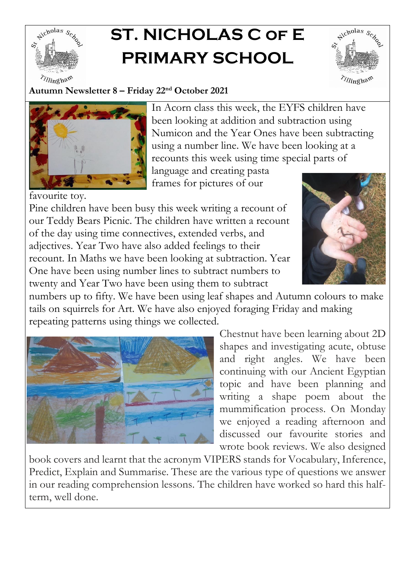

## **ST. NICHOLAS C of E PRIMARY SCHOOL**



**Autumn Newsletter 8 – Friday 22nd October 2021**



In Acorn class this week, the EYFS children have been looking at addition and subtraction using Numicon and the Year Ones have been subtracting using a number line. We have been looking at a recounts this week using time special parts of

language and creating pasta frames for pictures of our

favourite toy. Pine children have been busy this week writing a recount of our Teddy Bears Picnic. The children have written a recount of the day using time connectives, extended verbs, and adjectives. Year Two have also added feelings to their recount. In Maths we have been looking at subtraction. Year One have been using number lines to subtract numbers to twenty and Year Two have been using them to subtract



numbers up to fifty. We have been using leaf shapes and Autumn colours to make tails on squirrels for Art. We have also enjoyed foraging Friday and making repeating patterns using things we collected.



Chestnut have been learning about 2D shapes and investigating acute, obtuse and right angles. We have been continuing with our Ancient Egyptian topic and have been planning and writing a shape poem about the mummification process. On Monday we enjoyed a reading afternoon and discussed our favourite stories and wrote book reviews. We also designed

book covers and learnt that the acronym VIPERS stands for Vocabulary, Inference, Predict, Explain and Summarise. These are the various type of questions we answer in our reading comprehension lessons. The children have worked so hard this halfterm, well done.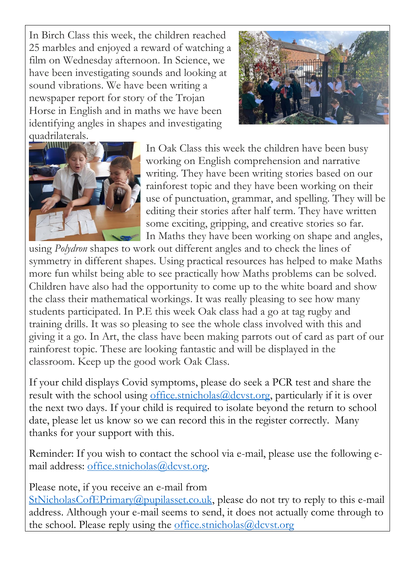In Birch Class this week, the children reached 25 marbles and enjoyed a reward of watching a film on Wednesday afternoon. In Science, we have been investigating sounds and looking at sound vibrations. We have been writing a newspaper report for story of the Trojan Horse in English and in maths we have been identifying angles in shapes and investigating quadrilaterals.





In Oak Class this week the children have been busy working on English comprehension and narrative writing. They have been writing stories based on our rainforest topic and they have been working on their use of punctuation, grammar, and spelling. They will be editing their stories after half term. They have written some exciting, gripping, and creative stories so far. In Maths they have been working on shape and angles,

using *Polydron* shapes to work out different angles and to check the lines of symmetry in different shapes. Using practical resources has helped to make Maths more fun whilst being able to see practically how Maths problems can be solved. Children have also had the opportunity to come up to the white board and show the class their mathematical workings. It was really pleasing to see how many students participated. In P.E this week Oak class had a go at tag rugby and training drills. It was so pleasing to see the whole class involved with this and giving it a go. In Art, the class have been making parrots out of card as part of our rainforest topic. These are looking fantastic and will be displayed in the classroom. Keep up the good work Oak Class.

If your child displays Covid symptoms, please do seek a PCR test and share the result with the school using [office.stnicholas@dcvst.org,](mailto:office.stnicholas@dcvst.org) particularly if it is over the next two days. If your child is required to isolate beyond the return to school date, please let us know so we can record this in the register correctly. Many thanks for your support with this.

Reminder: If you wish to contact the school via e-mail, please use the following email address: [office.stnicholas@dcvst.org.](mailto:office.stnicholas@dcvst.org)

Please note, if you receive an e-mail from

[StNicholasCofEPrimary@pupilasset.co.uk,](mailto:StNicholasCofEPrimary@pupilasset.co.uk) please do not try to reply to this e-mail address. Although your e-mail seems to send, it does not actually come through to the school. Please reply using the [office.stnicholas@dcvst.org](mailto:office.stnicholas@dcvst.org)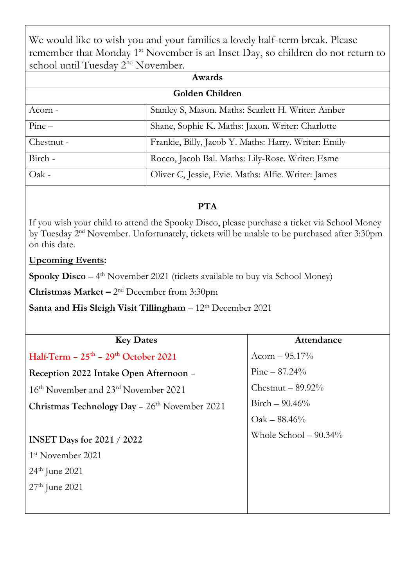We would like to wish you and your families a lovely half-term break. Please remember that Monday 1<sup>st</sup> November is an Inset Day, so children do not return to school until Tuesday 2<sup>nd</sup> November.

| Awards          |                                                      |  |
|-----------------|------------------------------------------------------|--|
| Golden Children |                                                      |  |
| Acorn -         | Stanley S, Mason. Maths: Scarlett H. Writer: Amber   |  |
| $Pine -$        | Shane, Sophie K. Maths: Jaxon. Writer: Charlotte     |  |
| Chestnut -      | Frankie, Billy, Jacob Y. Maths: Harry. Writer: Emily |  |
| Birch -         | Rocco, Jacob Bal. Maths: Lily-Rose. Writer: Esme     |  |
| Oak -           | Oliver C, Jessie, Evie. Maths: Alfie. Writer: James  |  |

## **PTA**

If you wish your child to attend the Spooky Disco, please purchase a ticket via School Money by Tuesday 2nd November. Unfortunately, tickets will be unable to be purchased after 3:30pm on this date.

## **Upcoming Events:**

**Spooky Disco** – 4<sup>th</sup> November 2021 (tickets available to buy via School Money)

**Christmas Market –** 2<sup>nd</sup> December from 3:30pm

**Santa and His Sleigh Visit Tillingham** –  $12<sup>th</sup>$  December 2021

| <b>Key Dates</b>                                               | Attendance              |
|----------------------------------------------------------------|-------------------------|
| Half-Term $-25$ <sup>th</sup> $-29$ <sup>th</sup> October 2021 | Acorn $-95.17\%$        |
| Reception 2022 Intake Open Afternoon -                         | $Pine - 87.24\%$        |
| 16 <sup>th</sup> November and 23 <sup>rd</sup> November 2021   | Chestnut $-$ 89.92%     |
| Christmas Technology Day - 26 <sup>th</sup> November 2021      | Birch $-90.46\%$        |
|                                                                | $Oak - 88.46\%$         |
| <b>INSET Days for 2021 / 2022</b>                              | Whole School $-90.34\%$ |
| 1 <sup>st</sup> November 2021                                  |                         |
| $24th$ June 2021                                               |                         |
| $27th$ June 2021                                               |                         |
|                                                                |                         |